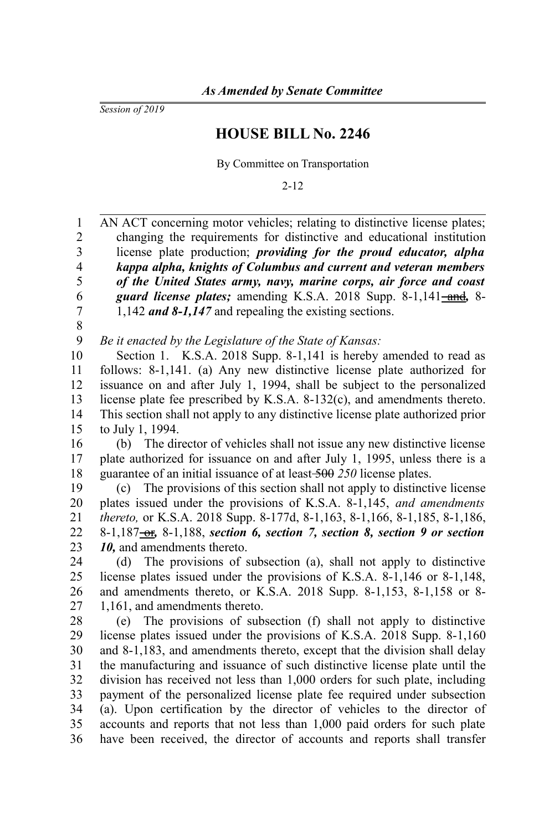*Session of 2019*

## **HOUSE BILL No. 2246**

By Committee on Transportation

2-12

AN ACT concerning motor vehicles; relating to distinctive license plates; changing the requirements for distinctive and educational institution license plate production; *providing for the proud educator, alpha kappa alpha, knights of Columbus and current and veteran members of the United States army, navy, marine corps, air force and coast* guard license plates; amending K.S.A. 2018 Supp. 8-1,141-and, 8-1,142 *and 8-1,147* and repealing the existing sections. *Be it enacted by the Legislature of the State of Kansas:* Section 1. K.S.A. 2018 Supp. 8-1,141 is hereby amended to read as follows: 8-1,141. (a) Any new distinctive license plate authorized for issuance on and after July 1, 1994, shall be subject to the personalized license plate fee prescribed by K.S.A. 8-132(c), and amendments thereto. This section shall not apply to any distinctive license plate authorized prior to July 1, 1994. (b) The director of vehicles shall not issue any new distinctive license plate authorized for issuance on and after July 1, 1995, unless there is a guarantee of an initial issuance of at least 500 *250* license plates. (c) The provisions of this section shall not apply to distinctive license plates issued under the provisions of K.S.A. 8-1,145, *and amendments thereto,* or K.S.A. 2018 Supp. 8-177d, 8-1,163, 8-1,166, 8-1,185, 8-1,186, 8-1,187<del>-or</del>, 8-1,188, section 6, section 7, section 8, section 9 or section *10,* and amendments thereto. (d) The provisions of subsection (a), shall not apply to distinctive license plates issued under the provisions of K.S.A. 8-1,146 or 8-1,148, and amendments thereto, or K.S.A. 2018 Supp. 8-1,153, 8-1,158 or 8- 1,161, and amendments thereto. (e) The provisions of subsection (f) shall not apply to distinctive license plates issued under the provisions of K.S.A. 2018 Supp. 8-1,160 and 8-1,183, and amendments thereto, except that the division shall delay the manufacturing and issuance of such distinctive license plate until the division has received not less than 1,000 orders for such plate, including payment of the personalized license plate fee required under subsection (a). Upon certification by the director of vehicles to the director of accounts and reports that not less than 1,000 paid orders for such plate have been received, the director of accounts and reports shall transfer 1 2 3 4 5 6 7 8 9 10 11 12 13 14 15 16 17 18 19 20 21 22 23 24 25 26 27 28 29 30 31 32 33 34 35 36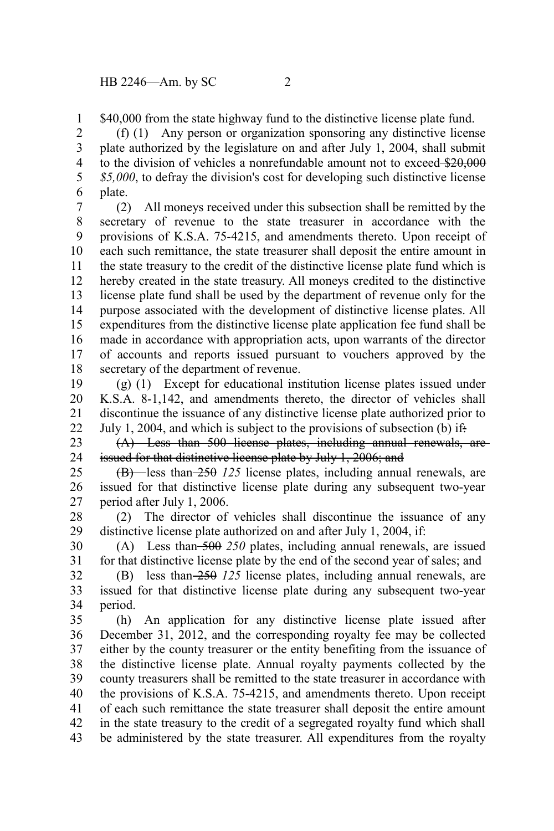\$40,000 from the state highway fund to the distinctive license plate fund. 1

(f) (1) Any person or organization sponsoring any distinctive license plate authorized by the legislature on and after July 1, 2004, shall submit to the division of vehicles a nonrefundable amount not to exceed \$20,000 *\$5,000*, to defray the division's cost for developing such distinctive license plate. 2 3 4 5 6

(2) All moneys received under this subsection shall be remitted by the secretary of revenue to the state treasurer in accordance with the provisions of K.S.A. 75-4215, and amendments thereto. Upon receipt of each such remittance, the state treasurer shall deposit the entire amount in the state treasury to the credit of the distinctive license plate fund which is hereby created in the state treasury. All moneys credited to the distinctive license plate fund shall be used by the department of revenue only for the purpose associated with the development of distinctive license plates. All expenditures from the distinctive license plate application fee fund shall be made in accordance with appropriation acts, upon warrants of the director of accounts and reports issued pursuant to vouchers approved by the secretary of the department of revenue. 7 8 9 10 11 12 13 14 15 16 17 18

(g) (1) Except for educational institution license plates issued under K.S.A. 8-1,142, and amendments thereto, the director of vehicles shall discontinue the issuance of any distinctive license plate authorized prior to July 1, 2004, and which is subject to the provisions of subsection (b) if: 19 20 21 22

(A) Less than 500 license plates, including annual renewals, are issued for that distinctive license plate by July 1, 2006; and 23 24

(B) less than 250 *125* license plates, including annual renewals, are issued for that distinctive license plate during any subsequent two-year period after July 1, 2006. 25 26 27

(2) The director of vehicles shall discontinue the issuance of any distinctive license plate authorized on and after July 1, 2004, if: 28 29

(A) Less than 500 *250* plates, including annual renewals, are issued for that distinctive license plate by the end of the second year of sales; and 30 31

(B) less than 250 *125* license plates, including annual renewals, are issued for that distinctive license plate during any subsequent two-year period. 32 33 34

(h) An application for any distinctive license plate issued after December 31, 2012, and the corresponding royalty fee may be collected either by the county treasurer or the entity benefiting from the issuance of the distinctive license plate. Annual royalty payments collected by the county treasurers shall be remitted to the state treasurer in accordance with the provisions of K.S.A. 75-4215, and amendments thereto. Upon receipt of each such remittance the state treasurer shall deposit the entire amount in the state treasury to the credit of a segregated royalty fund which shall be administered by the state treasurer. All expenditures from the royalty 35 36 37 38 39 40 41 42 43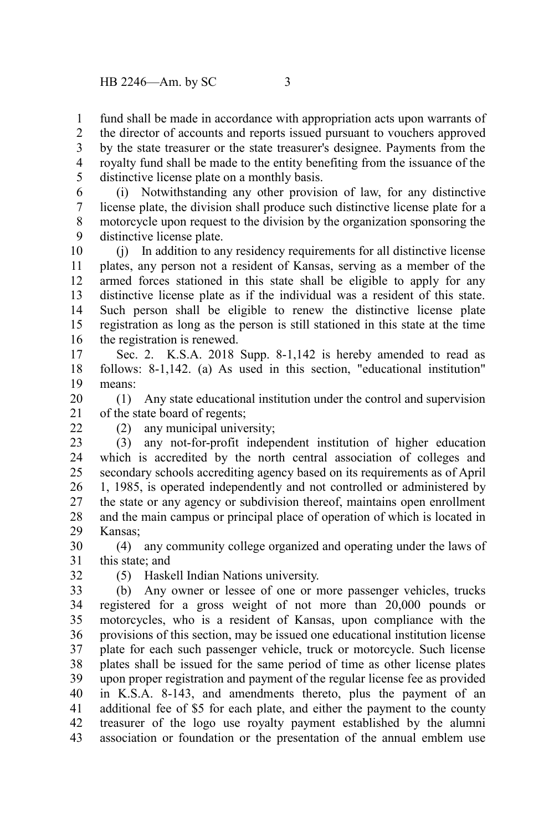fund shall be made in accordance with appropriation acts upon warrants of 1

the director of accounts and reports issued pursuant to vouchers approved by the state treasurer or the state treasurer's designee. Payments from the royalty fund shall be made to the entity benefiting from the issuance of the distinctive license plate on a monthly basis. 2 3 4 5

(i) Notwithstanding any other provision of law, for any distinctive license plate, the division shall produce such distinctive license plate for a motorcycle upon request to the division by the organization sponsoring the distinctive license plate. 6 7 8 9

(j) In addition to any residency requirements for all distinctive license plates, any person not a resident of Kansas, serving as a member of the armed forces stationed in this state shall be eligible to apply for any distinctive license plate as if the individual was a resident of this state. Such person shall be eligible to renew the distinctive license plate registration as long as the person is still stationed in this state at the time the registration is renewed. 10 11 12 13 14 15 16

Sec. 2. K.S.A. 2018 Supp. 8-1,142 is hereby amended to read as follows: 8-1,142. (a) As used in this section, "educational institution" means: 17 18 19

(1) Any state educational institution under the control and supervision of the state board of regents; 20 21

(2) any municipal university;

(3) any not-for-profit independent institution of higher education which is accredited by the north central association of colleges and secondary schools accrediting agency based on its requirements as of April 1, 1985, is operated independently and not controlled or administered by the state or any agency or subdivision thereof, maintains open enrollment and the main campus or principal place of operation of which is located in Kansas; 23 24 25 26 27 28 29

(4) any community college organized and operating under the laws of this state; and 30 31

32

 $22$ 

(5) Haskell Indian Nations university.

(b) Any owner or lessee of one or more passenger vehicles, trucks registered for a gross weight of not more than 20,000 pounds or motorcycles, who is a resident of Kansas, upon compliance with the provisions of this section, may be issued one educational institution license plate for each such passenger vehicle, truck or motorcycle. Such license plates shall be issued for the same period of time as other license plates upon proper registration and payment of the regular license fee as provided in K.S.A. 8-143, and amendments thereto, plus the payment of an additional fee of \$5 for each plate, and either the payment to the county treasurer of the logo use royalty payment established by the alumni association or foundation or the presentation of the annual emblem use 33 34 35 36 37 38 39 40 41 42 43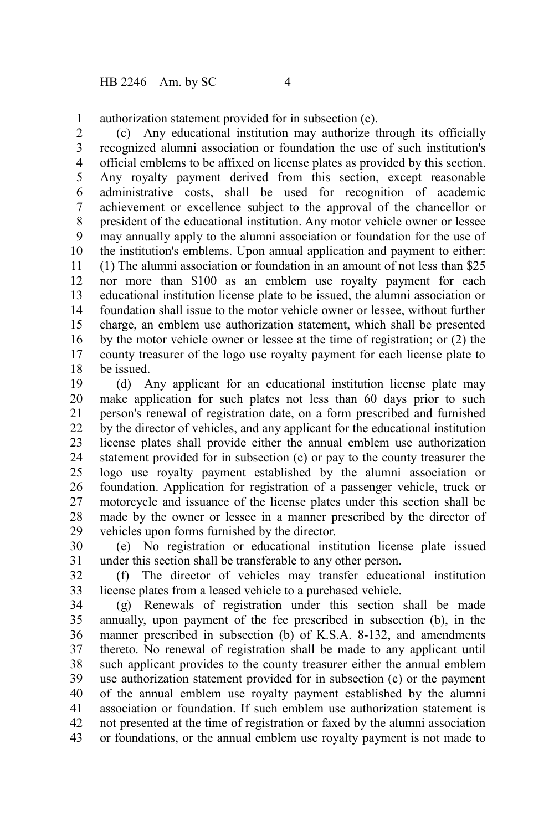authorization statement provided for in subsection (c). 1

(c) Any educational institution may authorize through its officially recognized alumni association or foundation the use of such institution's official emblems to be affixed on license plates as provided by this section. Any royalty payment derived from this section, except reasonable administrative costs, shall be used for recognition of academic achievement or excellence subject to the approval of the chancellor or president of the educational institution. Any motor vehicle owner or lessee may annually apply to the alumni association or foundation for the use of the institution's emblems. Upon annual application and payment to either: (1) The alumni association or foundation in an amount of not less than \$25 nor more than \$100 as an emblem use royalty payment for each educational institution license plate to be issued, the alumni association or foundation shall issue to the motor vehicle owner or lessee, without further charge, an emblem use authorization statement, which shall be presented by the motor vehicle owner or lessee at the time of registration; or (2) the county treasurer of the logo use royalty payment for each license plate to be issued. 2 3 4 5 6 7 8 9 10 11 12 13 14 15 16 17 18

(d) Any applicant for an educational institution license plate may make application for such plates not less than 60 days prior to such person's renewal of registration date, on a form prescribed and furnished by the director of vehicles, and any applicant for the educational institution license plates shall provide either the annual emblem use authorization statement provided for in subsection (c) or pay to the county treasurer the logo use royalty payment established by the alumni association or foundation. Application for registration of a passenger vehicle, truck or motorcycle and issuance of the license plates under this section shall be made by the owner or lessee in a manner prescribed by the director of vehicles upon forms furnished by the director. 19 20 21 22 23 24 25 26 27 28 29

(e) No registration or educational institution license plate issued under this section shall be transferable to any other person. 30 31

(f) The director of vehicles may transfer educational institution license plates from a leased vehicle to a purchased vehicle. 32 33

(g) Renewals of registration under this section shall be made annually, upon payment of the fee prescribed in subsection (b), in the manner prescribed in subsection (b) of K.S.A. 8-132, and amendments thereto. No renewal of registration shall be made to any applicant until such applicant provides to the county treasurer either the annual emblem use authorization statement provided for in subsection (c) or the payment of the annual emblem use royalty payment established by the alumni association or foundation. If such emblem use authorization statement is not presented at the time of registration or faxed by the alumni association or foundations, or the annual emblem use royalty payment is not made to 34 35 36 37 38 39 40 41 42 43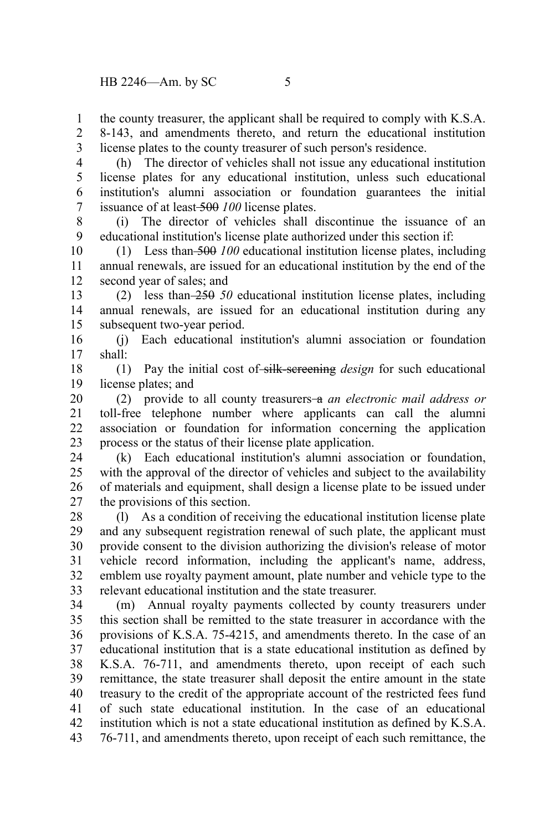the county treasurer, the applicant shall be required to comply with K.S.A. 1

8-143, and amendments thereto, and return the educational institution license plates to the county treasurer of such person's residence. 2 3

(h) The director of vehicles shall not issue any educational institution license plates for any educational institution, unless such educational institution's alumni association or foundation guarantees the initial issuance of at least 500 *100* license plates. 4 5 6 7

(i) The director of vehicles shall discontinue the issuance of an educational institution's license plate authorized under this section if: 8 9

(1) Less than 500 *100* educational institution license plates, including annual renewals, are issued for an educational institution by the end of the second year of sales; and 10 11 12

(2) less than 250 *50* educational institution license plates, including annual renewals, are issued for an educational institution during any subsequent two-year period. 13 14 15

(j) Each educational institution's alumni association or foundation shall: 16 17

(1) Pay the initial cost of silk-screening *design* for such educational license plates; and 18 19

(2) provide to all county treasurers a *an electronic mail address or* toll-free telephone number where applicants can call the alumni association or foundation for information concerning the application process or the status of their license plate application. 20 21 22 23

(k) Each educational institution's alumni association or foundation, with the approval of the director of vehicles and subject to the availability of materials and equipment, shall design a license plate to be issued under the provisions of this section. 24 25 26 27

(l) As a condition of receiving the educational institution license plate and any subsequent registration renewal of such plate, the applicant must provide consent to the division authorizing the division's release of motor vehicle record information, including the applicant's name, address, emblem use royalty payment amount, plate number and vehicle type to the relevant educational institution and the state treasurer. 28 29 30 31 32 33

(m) Annual royalty payments collected by county treasurers under this section shall be remitted to the state treasurer in accordance with the provisions of K.S.A. 75-4215, and amendments thereto. In the case of an educational institution that is a state educational institution as defined by K.S.A. 76-711, and amendments thereto, upon receipt of each such remittance, the state treasurer shall deposit the entire amount in the state treasury to the credit of the appropriate account of the restricted fees fund of such state educational institution. In the case of an educational institution which is not a state educational institution as defined by K.S.A. 76-711, and amendments thereto, upon receipt of each such remittance, the 34 35 36 37 38 39 40 41 42 43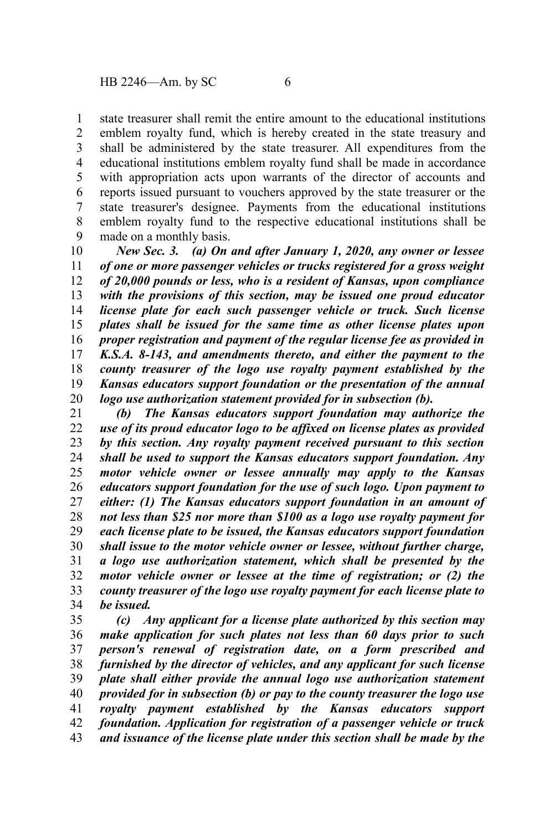state treasurer shall remit the entire amount to the educational institutions emblem royalty fund, which is hereby created in the state treasury and shall be administered by the state treasurer. All expenditures from the educational institutions emblem royalty fund shall be made in accordance with appropriation acts upon warrants of the director of accounts and reports issued pursuant to vouchers approved by the state treasurer or the state treasurer's designee. Payments from the educational institutions emblem royalty fund to the respective educational institutions shall be made on a monthly basis. 1 2 3 4 5 6 7 8 9

*New Sec. 3. (a) On and after January 1, 2020, any owner or lessee of one or more passenger vehicles or trucks registered for a gross weight of 20,000 pounds or less, who is a resident of Kansas, upon compliance with the provisions of this section, may be issued one proud educator license plate for each such passenger vehicle or truck. Such license plates shall be issued for the same time as other license plates upon proper registration and payment of the regular license fee as provided in K.S.A. 8-143, and amendments thereto, and either the payment to the county treasurer of the logo use royalty payment established by the Kansas educators support foundation or the presentation of the annual logo use authorization statement provided for in subsection (b).* 10 11 12 13 14 15 16 17 18 19 20

*(b) The Kansas educators support foundation may authorize the use of its proud educator logo to be affixed on license plates as provided by this section. Any royalty payment received pursuant to this section shall be used to support the Kansas educators support foundation. Any motor vehicle owner or lessee annually may apply to the Kansas educators support foundation for the use of such logo. Upon payment to either: (1) The Kansas educators support foundation in an amount of not less than \$25 nor more than \$100 as a logo use royalty payment for each license plate to be issued, the Kansas educators support foundation shall issue to the motor vehicle owner or lessee, without further charge, a logo use authorization statement, which shall be presented by the motor vehicle owner or lessee at the time of registration; or (2) the county treasurer of the logo use royalty payment for each license plate to be issued.* 21 22 23 24 25 26 27 28 29 30 31 32 33 34

*(c) Any applicant for a license plate authorized by this section may make application for such plates not less than 60 days prior to such person's renewal of registration date, on a form prescribed and furnished by the director of vehicles, and any applicant for such license plate shall either provide the annual logo use authorization statement provided for in subsection (b) or pay to the county treasurer the logo use royalty payment established by the Kansas educators support foundation. Application for registration of a passenger vehicle or truck and issuance of the license plate under this section shall be made by the* 35 36 37 38 39 40 41 42 43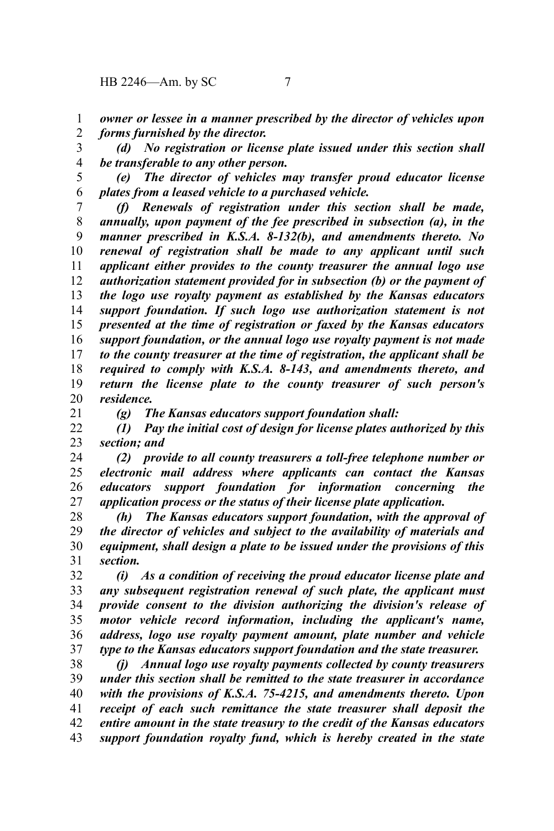*owner or lessee in a manner prescribed by the director of vehicles upon* 1

*forms furnished by the director.* 2

*(d) No registration or license plate issued under this section shall be transferable to any other person.* 3 4

*(e) The director of vehicles may transfer proud educator license plates from a leased vehicle to a purchased vehicle.* 5 6

*(f) Renewals of registration under this section shall be made, annually, upon payment of the fee prescribed in subsection (a), in the manner prescribed in K.S.A. 8-132(b), and amendments thereto. No renewal of registration shall be made to any applicant until such applicant either provides to the county treasurer the annual logo use authorization statement provided for in subsection (b) or the payment of the logo use royalty payment as established by the Kansas educators support foundation. If such logo use authorization statement is not presented at the time of registration or faxed by the Kansas educators support foundation, or the annual logo use royalty payment is not made to the county treasurer at the time of registration, the applicant shall be required to comply with K.S.A. 8-143, and amendments thereto, and return the license plate to the county treasurer of such person's residence.* 7 8 9 10 11 12 13 14 15 16 17 18 19 20

*(g) The Kansas educators support foundation shall:* 21

*(1) Pay the initial cost of design for license plates authorized by this section; and* 22 23

*(2) provide to all county treasurers a toll-free telephone number or electronic mail address where applicants can contact the Kansas educators support foundation for information concerning the application process or the status of their license plate application.* 24 25 26 27

*(h) The Kansas educators support foundation, with the approval of the director of vehicles and subject to the availability of materials and equipment, shall design a plate to be issued under the provisions of this section.* 28 29 30 31

*(i) As a condition of receiving the proud educator license plate and any subsequent registration renewal of such plate, the applicant must provide consent to the division authorizing the division's release of motor vehicle record information, including the applicant's name, address, logo use royalty payment amount, plate number and vehicle type to the Kansas educators support foundation and the state treasurer.* 32 33 34 35 36 37

*(j) Annual logo use royalty payments collected by county treasurers under this section shall be remitted to the state treasurer in accordance with the provisions of K.S.A. 75-4215, and amendments thereto. Upon receipt of each such remittance the state treasurer shall deposit the entire amount in the state treasury to the credit of the Kansas educators support foundation royalty fund, which is hereby created in the state* 38 39 40 41 42 43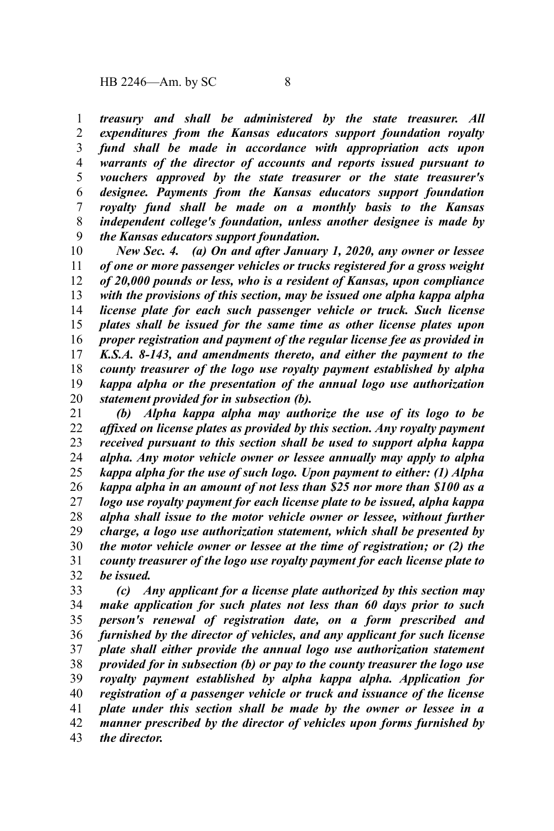*treasury and shall be administered by the state treasurer. All expenditures from the Kansas educators support foundation royalty fund shall be made in accordance with appropriation acts upon warrants of the director of accounts and reports issued pursuant to vouchers approved by the state treasurer or the state treasurer's designee. Payments from the Kansas educators support foundation royalty fund shall be made on a monthly basis to the Kansas independent college's foundation, unless another designee is made by the Kansas educators support foundation.* 1 2 3 4 5 6 7 8 9

*New Sec. 4. (a) On and after January 1, 2020, any owner or lessee of one or more passenger vehicles or trucks registered for a gross weight of 20,000 pounds or less, who is a resident of Kansas, upon compliance with the provisions of this section, may be issued one alpha kappa alpha license plate for each such passenger vehicle or truck. Such license plates shall be issued for the same time as other license plates upon proper registration and payment of the regular license fee as provided in K.S.A. 8-143, and amendments thereto, and either the payment to the county treasurer of the logo use royalty payment established by alpha kappa alpha or the presentation of the annual logo use authorization statement provided for in subsection (b).* 10 11 12 13 14 15 16 17 18 19 20

*(b) Alpha kappa alpha may authorize the use of its logo to be affixed on license plates as provided by this section. Any royalty payment received pursuant to this section shall be used to support alpha kappa alpha. Any motor vehicle owner or lessee annually may apply to alpha kappa alpha for the use of such logo. Upon payment to either: (1) Alpha kappa alpha in an amount of not less than \$25 nor more than \$100 as a logo use royalty payment for each license plate to be issued, alpha kappa alpha shall issue to the motor vehicle owner or lessee, without further charge, a logo use authorization statement, which shall be presented by the motor vehicle owner or lessee at the time of registration; or (2) the county treasurer of the logo use royalty payment for each license plate to be issued.* 21 22 23 24 25 26 27 28 29 30 31 32

*(c) Any applicant for a license plate authorized by this section may make application for such plates not less than 60 days prior to such person's renewal of registration date, on a form prescribed and furnished by the director of vehicles, and any applicant for such license plate shall either provide the annual logo use authorization statement provided for in subsection (b) or pay to the county treasurer the logo use royalty payment established by alpha kappa alpha. Application for registration of a passenger vehicle or truck and issuance of the license plate under this section shall be made by the owner or lessee in a manner prescribed by the director of vehicles upon forms furnished by the director.* 33 34 35 36 37 38 39 40 41 42 43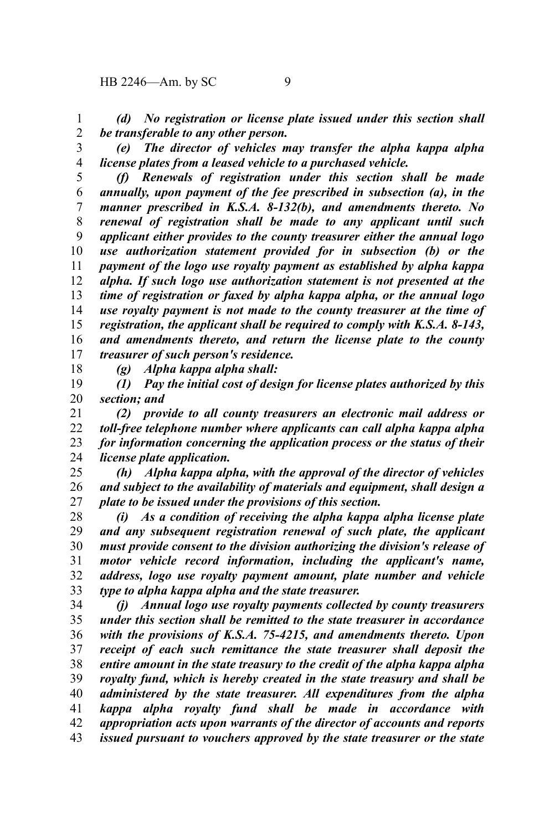*(d) No registration or license plate issued under this section shall be transferable to any other person.* 1 2

3

*(e) The director of vehicles may transfer the alpha kappa alpha license plates from a leased vehicle to a purchased vehicle.*

4

*(f) Renewals of registration under this section shall be made annually, upon payment of the fee prescribed in subsection (a), in the manner prescribed in K.S.A. 8-132(b), and amendments thereto. No renewal of registration shall be made to any applicant until such applicant either provides to the county treasurer either the annual logo use authorization statement provided for in subsection (b) or the payment of the logo use royalty payment as established by alpha kappa alpha. If such logo use authorization statement is not presented at the time of registration or faxed by alpha kappa alpha, or the annual logo use royalty payment is not made to the county treasurer at the time of registration, the applicant shall be required to comply with K.S.A. 8-143, and amendments thereto, and return the license plate to the county treasurer of such person's residence.* 5 6 7 8 9 10 11 12 13 14 15 16 17

18

*(g) Alpha kappa alpha shall:*

*(1) Pay the initial cost of design for license plates authorized by this section; and* 19 20

*(2) provide to all county treasurers an electronic mail address or toll-free telephone number where applicants can call alpha kappa alpha for information concerning the application process or the status of their license plate application.* 21 22 23 24

*(h) Alpha kappa alpha, with the approval of the director of vehicles and subject to the availability of materials and equipment, shall design a plate to be issued under the provisions of this section.* 25 26 27

*(i) As a condition of receiving the alpha kappa alpha license plate and any subsequent registration renewal of such plate, the applicant must provide consent to the division authorizing the division's release of motor vehicle record information, including the applicant's name, address, logo use royalty payment amount, plate number and vehicle type to alpha kappa alpha and the state treasurer.* 28 29 30 31 32 33

*(j) Annual logo use royalty payments collected by county treasurers under this section shall be remitted to the state treasurer in accordance with the provisions of K.S.A. 75-4215, and amendments thereto. Upon receipt of each such remittance the state treasurer shall deposit the entire amount in the state treasury to the credit of the alpha kappa alpha royalty fund, which is hereby created in the state treasury and shall be administered by the state treasurer. All expenditures from the alpha kappa alpha royalty fund shall be made in accordance with appropriation acts upon warrants of the director of accounts and reports issued pursuant to vouchers approved by the state treasurer or the state* 34 35 36 37 38 39 40 41 42 43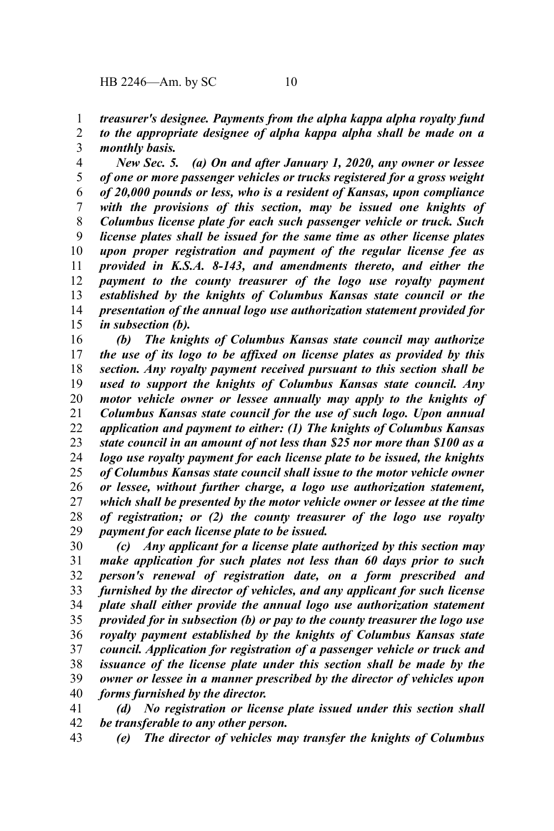*treasurer's designee. Payments from the alpha kappa alpha royalty fund* 1

*to the appropriate designee of alpha kappa alpha shall be made on a monthly basis.* 2 3

*New Sec. 5. (a) On and after January 1, 2020, any owner or lessee of one or more passenger vehicles or trucks registered for a gross weight of 20,000 pounds or less, who is a resident of Kansas, upon compliance with the provisions of this section, may be issued one knights of Columbus license plate for each such passenger vehicle or truck. Such license plates shall be issued for the same time as other license plates upon proper registration and payment of the regular license fee as provided in K.S.A. 8-143, and amendments thereto, and either the payment to the county treasurer of the logo use royalty payment established by the knights of Columbus Kansas state council or the presentation of the annual logo use authorization statement provided for in subsection (b).* 4 5 6 7 8 9 10 11 12 13 14 15

*(b) The knights of Columbus Kansas state council may authorize the use of its logo to be affixed on license plates as provided by this section. Any royalty payment received pursuant to this section shall be used to support the knights of Columbus Kansas state council. Any motor vehicle owner or lessee annually may apply to the knights of Columbus Kansas state council for the use of such logo. Upon annual application and payment to either: (1) The knights of Columbus Kansas state council in an amount of not less than \$25 nor more than \$100 as a logo use royalty payment for each license plate to be issued, the knights of Columbus Kansas state council shall issue to the motor vehicle owner or lessee, without further charge, a logo use authorization statement, which shall be presented by the motor vehicle owner or lessee at the time of registration; or (2) the county treasurer of the logo use royalty payment for each license plate to be issued.* 16 17 18 19 20 21 22 23 24 25 26 27 28 29

*(c) Any applicant for a license plate authorized by this section may make application for such plates not less than 60 days prior to such person's renewal of registration date, on a form prescribed and furnished by the director of vehicles, and any applicant for such license plate shall either provide the annual logo use authorization statement provided for in subsection (b) or pay to the county treasurer the logo use royalty payment established by the knights of Columbus Kansas state council. Application for registration of a passenger vehicle or truck and issuance of the license plate under this section shall be made by the owner or lessee in a manner prescribed by the director of vehicles upon forms furnished by the director.* 30 31 32 33 34 35 36 37 38 39 40

*(d) No registration or license plate issued under this section shall be transferable to any other person.* 41 42

*(e) The director of vehicles may transfer the knights of Columbus* 43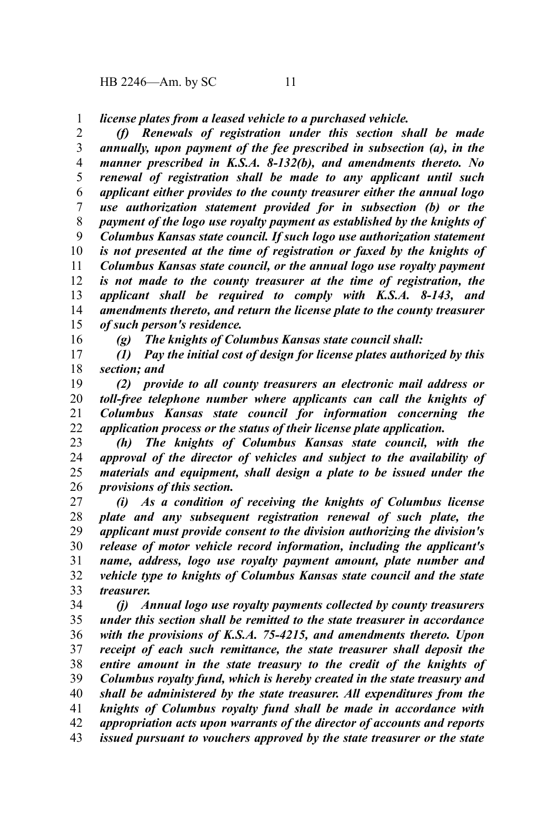HB 2246—Am. by SC 11

16

*license plates from a leased vehicle to a purchased vehicle.* 1

*(f) Renewals of registration under this section shall be made annually, upon payment of the fee prescribed in subsection (a), in the manner prescribed in K.S.A. 8-132(b), and amendments thereto. No renewal of registration shall be made to any applicant until such applicant either provides to the county treasurer either the annual logo use authorization statement provided for in subsection (b) or the payment of the logo use royalty payment as established by the knights of Columbus Kansas state council. If such logo use authorization statement is not presented at the time of registration or faxed by the knights of Columbus Kansas state council, or the annual logo use royalty payment is not made to the county treasurer at the time of registration, the applicant shall be required to comply with K.S.A. 8-143, and amendments thereto, and return the license plate to the county treasurer of such person's residence.* 2 3 4 5 6 7 8 9 10 11 12 13 14 15

*(g) The knights of Columbus Kansas state council shall:*

*(1) Pay the initial cost of design for license plates authorized by this section; and* 17 18

*(2) provide to all county treasurers an electronic mail address or toll-free telephone number where applicants can call the knights of Columbus Kansas state council for information concerning the application process or the status of their license plate application.* 19 20 21 22

*(h) The knights of Columbus Kansas state council, with the approval of the director of vehicles and subject to the availability of materials and equipment, shall design a plate to be issued under the provisions of this section.* 23 24 25 26

*(i) As a condition of receiving the knights of Columbus license plate and any subsequent registration renewal of such plate, the applicant must provide consent to the division authorizing the division's release of motor vehicle record information, including the applicant's name, address, logo use royalty payment amount, plate number and vehicle type to knights of Columbus Kansas state council and the state treasurer.* 27 28 29 30 31 32 33

*(j) Annual logo use royalty payments collected by county treasurers under this section shall be remitted to the state treasurer in accordance with the provisions of K.S.A. 75-4215, and amendments thereto. Upon receipt of each such remittance, the state treasurer shall deposit the entire amount in the state treasury to the credit of the knights of Columbus royalty fund, which is hereby created in the state treasury and shall be administered by the state treasurer. All expenditures from the knights of Columbus royalty fund shall be made in accordance with appropriation acts upon warrants of the director of accounts and reports issued pursuant to vouchers approved by the state treasurer or the state* 34 35 36 37 38 39 40 41 42 43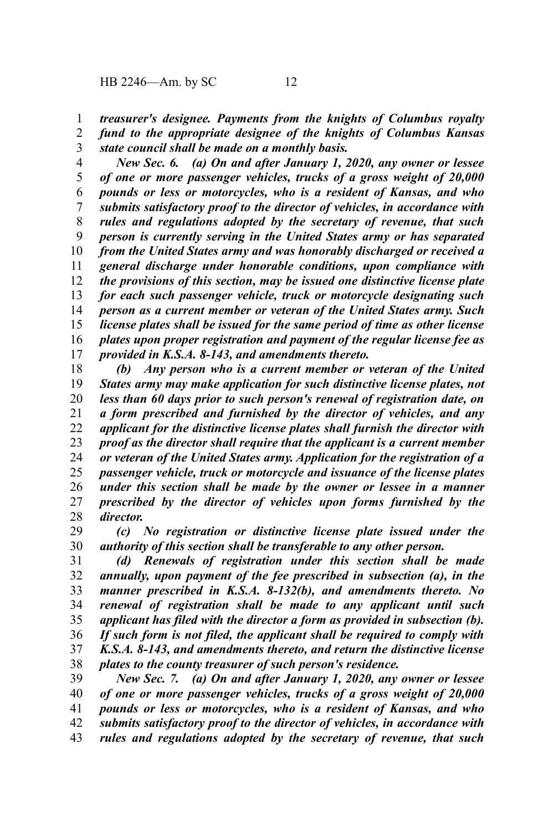*treasurer's designee. Payments from the knights of Columbus royalty* 1

*fund to the appropriate designee of the knights of Columbus Kansas state council shall be made on a monthly basis.* 2 3

*New Sec. 6. (a) On and after January 1, 2020, any owner or lessee of one or more passenger vehicles, trucks of a gross weight of 20,000 pounds or less or motorcycles, who is a resident of Kansas, and who submits satisfactory proof to the director of vehicles, in accordance with rules and regulations adopted by the secretary of revenue, that such person is currently serving in the United States army or has separated from the United States army and was honorably discharged or received a general discharge under honorable conditions, upon compliance with the provisions of this section, may be issued one distinctive license plate for each such passenger vehicle, truck or motorcycle designating such person as a current member or veteran of the United States army. Such license plates shall be issued for the same period of time as other license plates upon proper registration and payment of the regular license fee as provided in K.S.A. 8-143, and amendments thereto.* 4 5 6 7 8 9 10 11 12 13 14 15 16 17

*(b) Any person who is a current member or veteran of the United States army may make application for such distinctive license plates, not less than 60 days prior to such person's renewal of registration date, on a form prescribed and furnished by the director of vehicles, and any applicant for the distinctive license plates shall furnish the director with proof as the director shall require that the applicant is a current member or veteran of the United States army. Application for the registration of a passenger vehicle, truck or motorcycle and issuance of the license plates under this section shall be made by the owner or lessee in a manner prescribed by the director of vehicles upon forms furnished by the director.* 18 19 20 21 22 23 24 25 26 27 28

*(c) No registration or distinctive license plate issued under the authority of this section shall be transferable to any other person.* 29 30

*(d) Renewals of registration under this section shall be made annually, upon payment of the fee prescribed in subsection (a), in the manner prescribed in K.S.A. 8-132(b), and amendments thereto. No renewal of registration shall be made to any applicant until such applicant has filed with the director a form as provided in subsection (b). If such form is not filed, the applicant shall be required to comply with K.S.A. 8-143, and amendments thereto, and return the distinctive license plates to the county treasurer of such person's residence.* 31 32 33 34 35 36 37 38

*New Sec. 7. (a) On and after January 1, 2020, any owner or lessee of one or more passenger vehicles, trucks of a gross weight of 20,000 pounds or less or motorcycles, who is a resident of Kansas, and who submits satisfactory proof to the director of vehicles, in accordance with rules and regulations adopted by the secretary of revenue, that such* 39 40 41 42 43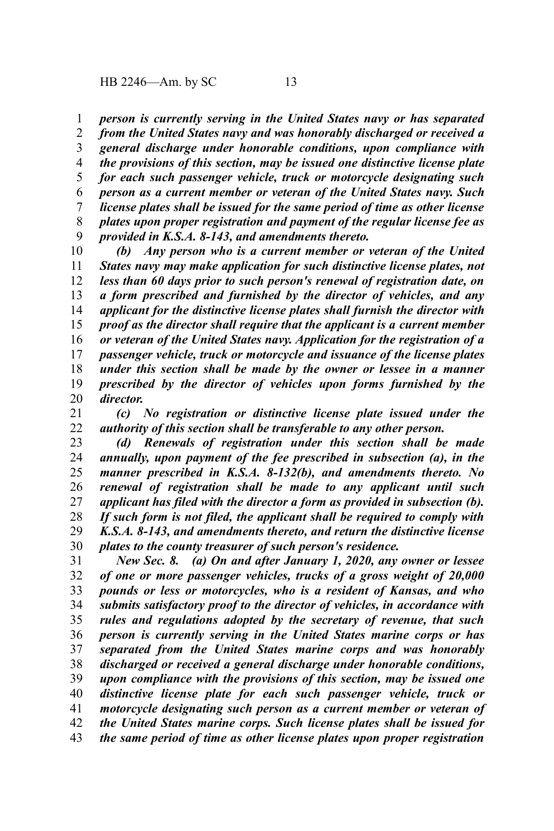*person is currently serving in the United States navy or has separated from the United States navy and was honorably discharged or received a general discharge under honorable conditions, upon compliance with the provisions of this section, may be issued one distinctive license plate for each such passenger vehicle, truck or motorcycle designating such person as a current member or veteran of the United States navy. Such license plates shall be issued for the same period of time as other license plates upon proper registration and payment of the regular license fee as provided in K.S.A. 8-143, and amendments thereto.* 1 2 3 4 5 6 7 8 9

*(b) Any person who is a current member or veteran of the United States navy may make application for such distinctive license plates, not less than 60 days prior to such person's renewal of registration date, on a form prescribed and furnished by the director of vehicles, and any applicant for the distinctive license plates shall furnish the director with proof as the director shall require that the applicant is a current member or veteran of the United States navy. Application for the registration of a passenger vehicle, truck or motorcycle and issuance of the license plates under this section shall be made by the owner or lessee in a manner prescribed by the director of vehicles upon forms furnished by the director.* 10 11 12 13 14 15 16 17 18 19 20

*(c) No registration or distinctive license plate issued under the authority of this section shall be transferable to any other person.* 21 22

*(d) Renewals of registration under this section shall be made annually, upon payment of the fee prescribed in subsection (a), in the manner prescribed in K.S.A. 8-132(b), and amendments thereto. No renewal of registration shall be made to any applicant until such applicant has filed with the director a form as provided in subsection (b). If such form is not filed, the applicant shall be required to comply with K.S.A. 8-143, and amendments thereto, and return the distinctive license plates to the county treasurer of such person's residence.* 23 24 25 26 27 28 29 30

*New Sec. 8. (a) On and after January 1, 2020, any owner or lessee of one or more passenger vehicles, trucks of a gross weight of 20,000 pounds or less or motorcycles, who is a resident of Kansas, and who submits satisfactory proof to the director of vehicles, in accordance with rules and regulations adopted by the secretary of revenue, that such person is currently serving in the United States marine corps or has separated from the United States marine corps and was honorably discharged or received a general discharge under honorable conditions, upon compliance with the provisions of this section, may be issued one distinctive license plate for each such passenger vehicle, truck or motorcycle designating such person as a current member or veteran of the United States marine corps. Such license plates shall be issued for the same period of time as other license plates upon proper registration* 31 32 33 34 35 36 37 38 39 40 41 42 43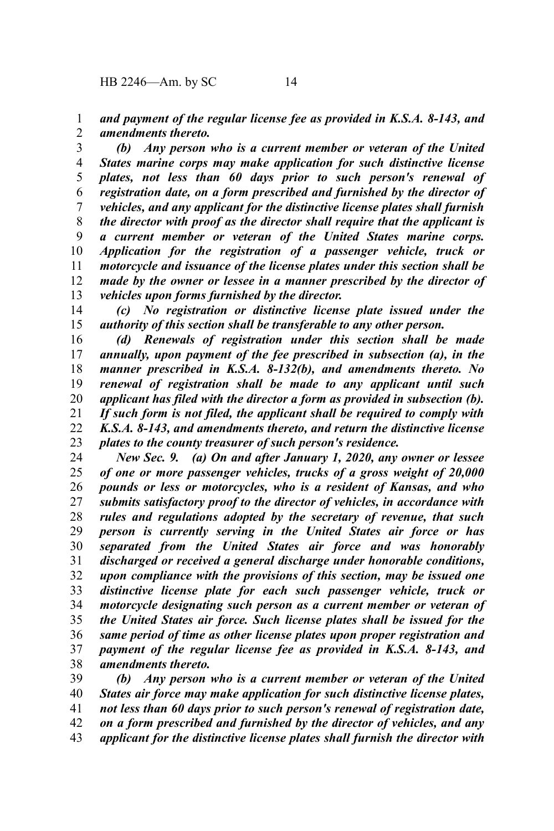*and payment of the regular license fee as provided in K.S.A. 8-143, and amendments thereto.* 1 2

*(b) Any person who is a current member or veteran of the United States marine corps may make application for such distinctive license plates, not less than 60 days prior to such person's renewal of registration date, on a form prescribed and furnished by the director of vehicles, and any applicant for the distinctive license plates shall furnish the director with proof as the director shall require that the applicant is a current member or veteran of the United States marine corps. Application for the registration of a passenger vehicle, truck or motorcycle and issuance of the license plates under this section shall be made by the owner or lessee in a manner prescribed by the director of vehicles upon forms furnished by the director.* 3 4 5 6 7 8 9 10 11 12 13

*(c) No registration or distinctive license plate issued under the authority of this section shall be transferable to any other person.* 14 15

*(d) Renewals of registration under this section shall be made annually, upon payment of the fee prescribed in subsection (a), in the manner prescribed in K.S.A. 8-132(b), and amendments thereto. No renewal of registration shall be made to any applicant until such applicant has filed with the director a form as provided in subsection (b). If such form is not filed, the applicant shall be required to comply with K.S.A. 8-143, and amendments thereto, and return the distinctive license plates to the county treasurer of such person's residence.* 16 17 18 19 20 21 22 23

*New Sec. 9. (a) On and after January 1, 2020, any owner or lessee of one or more passenger vehicles, trucks of a gross weight of 20,000 pounds or less or motorcycles, who is a resident of Kansas, and who submits satisfactory proof to the director of vehicles, in accordance with rules and regulations adopted by the secretary of revenue, that such person is currently serving in the United States air force or has separated from the United States air force and was honorably discharged or received a general discharge under honorable conditions, upon compliance with the provisions of this section, may be issued one distinctive license plate for each such passenger vehicle, truck or motorcycle designating such person as a current member or veteran of the United States air force. Such license plates shall be issued for the same period of time as other license plates upon proper registration and payment of the regular license fee as provided in K.S.A. 8-143, and amendments thereto.* 24 25 26 27 28 29 30 31 32 33 34 35 36 37 38

*(b) Any person who is a current member or veteran of the United States air force may make application for such distinctive license plates, not less than 60 days prior to such person's renewal of registration date, on a form prescribed and furnished by the director of vehicles, and any applicant for the distinctive license plates shall furnish the director with* 39 40 41 42 43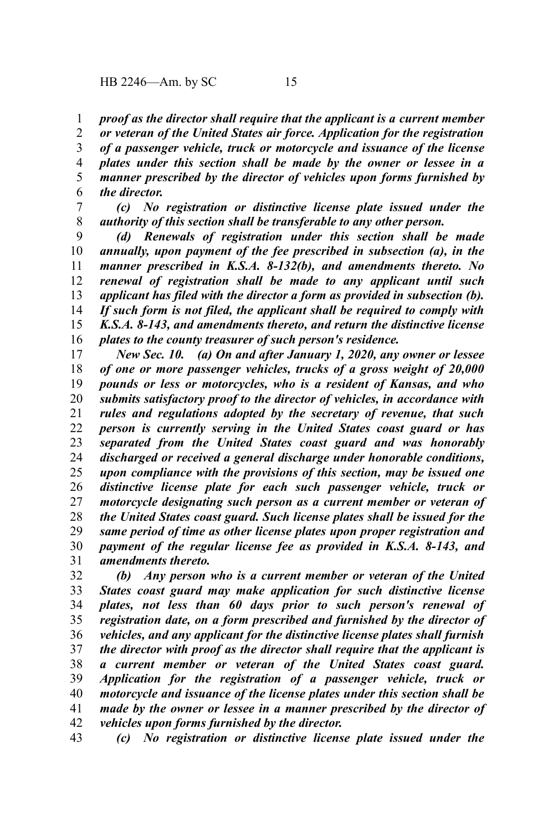*proof as the director shall require that the applicant is a current member* 1

*or veteran of the United States air force. Application for the registration of a passenger vehicle, truck or motorcycle and issuance of the license plates under this section shall be made by the owner or lessee in a manner prescribed by the director of vehicles upon forms furnished by the director.* 2 3 4 5 6

*(c) No registration or distinctive license plate issued under the authority of this section shall be transferable to any other person.* 7 8

*(d) Renewals of registration under this section shall be made annually, upon payment of the fee prescribed in subsection (a), in the manner prescribed in K.S.A. 8-132(b), and amendments thereto. No renewal of registration shall be made to any applicant until such applicant has filed with the director a form as provided in subsection (b). If such form is not filed, the applicant shall be required to comply with K.S.A. 8-143, and amendments thereto, and return the distinctive license plates to the county treasurer of such person's residence.* 9 10 11 12 13 14 15 16

*New Sec. 10. (a) On and after January 1, 2020, any owner or lessee of one or more passenger vehicles, trucks of a gross weight of 20,000 pounds or less or motorcycles, who is a resident of Kansas, and who submits satisfactory proof to the director of vehicles, in accordance with rules and regulations adopted by the secretary of revenue, that such person is currently serving in the United States coast guard or has separated from the United States coast guard and was honorably discharged or received a general discharge under honorable conditions, upon compliance with the provisions of this section, may be issued one distinctive license plate for each such passenger vehicle, truck or motorcycle designating such person as a current member or veteran of the United States coast guard. Such license plates shall be issued for the same period of time as other license plates upon proper registration and payment of the regular license fee as provided in K.S.A. 8-143, and amendments thereto.* 17 18 19 20 21 22 23 24 25 26 27 28 29 30 31

*(b) Any person who is a current member or veteran of the United States coast guard may make application for such distinctive license plates, not less than 60 days prior to such person's renewal of registration date, on a form prescribed and furnished by the director of vehicles, and any applicant for the distinctive license plates shall furnish the director with proof as the director shall require that the applicant is a current member or veteran of the United States coast guard. Application for the registration of a passenger vehicle, truck or motorcycle and issuance of the license plates under this section shall be made by the owner or lessee in a manner prescribed by the director of vehicles upon forms furnished by the director.* 32 33 34 35 36 37 38 39 40 41 42

*(c) No registration or distinctive license plate issued under the* 43